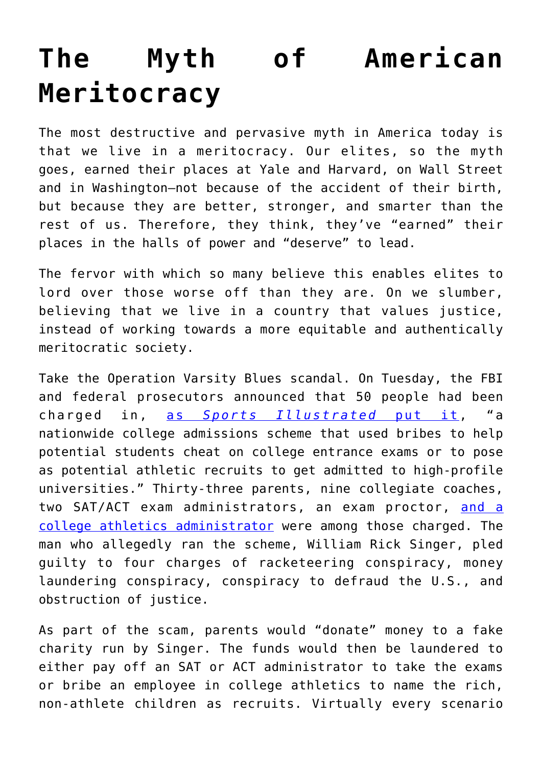## **[The Myth of American](https://intellectualtakeout.org/2019/03/the-myth-of-american-meritocracy/) [Meritocracy](https://intellectualtakeout.org/2019/03/the-myth-of-american-meritocracy/)**

The most destructive and pervasive myth in America today is that we live in a meritocracy. Our elites, so the myth goes, earned their places at Yale and Harvard, on Wall Street and in Washington—not because of the accident of their birth, but because they are better, stronger, and smarter than the rest of us. Therefore, they think, they've "earned" their places in the halls of power and "deserve" to lead.

The fervor with which so many believe this enables elites to lord over those worse off than they are. On we slumber, believing that we live in a country that values justice, instead of working towards a more equitable and authentically meritocratic society.

Take the Operation Varsity Blues scandal. On Tuesday, the FBI and federal prosecutors announced that 50 people had been charged in, [as](https://www.si.com/more-sports/2019/03/13/operation-varsity-blues-college-admissions-recruiting-bribery-scandal-explained) *[Sports Illustrated](https://www.si.com/more-sports/2019/03/13/operation-varsity-blues-college-admissions-recruiting-bribery-scandal-explained)* [put it,](https://www.si.com/more-sports/2019/03/13/operation-varsity-blues-college-admissions-recruiting-bribery-scandal-explained) "a nationwide college admissions scheme that used bribes to help potential students cheat on college entrance exams or to pose as potential athletic recruits to get admitted to high-profile universities." Thirty-three parents, nine collegiate coaches, two SAT/ACT exam administrators, an exam proctor, [and a](https://www.si.com/more-sports/2019/03/12/coaches-charged-fbi-college-admission-cheating-recruiting-bribery-scandal) [college athletics administrator](https://www.si.com/more-sports/2019/03/12/coaches-charged-fbi-college-admission-cheating-recruiting-bribery-scandal) were among those charged. The man who allegedly ran the scheme, William Rick Singer, pled guilty to four charges of racketeering conspiracy, money laundering conspiracy, conspiracy to defraud the U.S., and obstruction of justice.

As part of the scam, parents would "donate" money to a fake charity run by Singer. The funds would then be laundered to either pay off an SAT or ACT administrator to take the exams or bribe an employee in college athletics to name the rich, non-athlete children as recruits. Virtually every scenario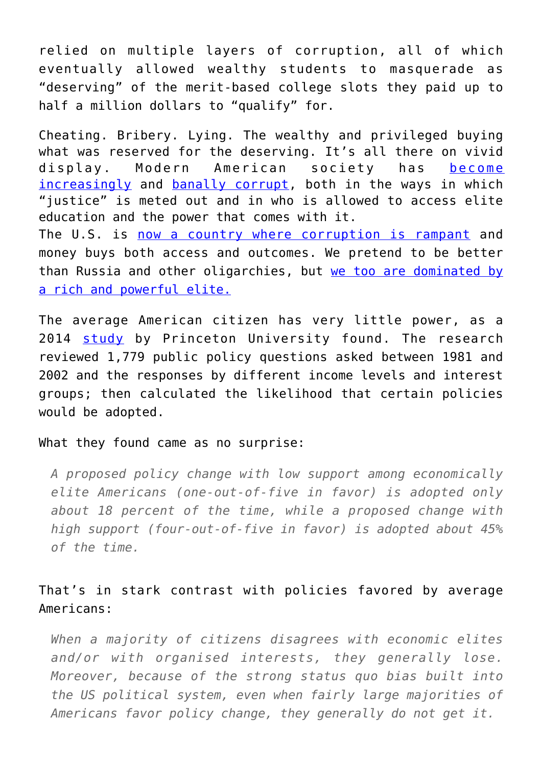relied on multiple layers of corruption, all of which eventually allowed wealthy students to masquerade as "deserving" of the merit-based college slots they paid up to half a million dollars to "qualify" for.

Cheating. Bribery. Lying. The wealthy and privileged buying what was reserved for the deserving. It's all there on vivid display. Modern American society has [become](https://www.theatlantic.com/ideas/archive/2019/03/manafort-and-huffman-show-elite-act-impunity/584860/?fbclid=IwAR3ZHQ4VY1hpWUDDQOAlrGthWPs6OHnH4lkmp0OvQvFlYGjFo46-qhnfoQg) [increasingly](https://www.theatlantic.com/ideas/archive/2019/03/manafort-and-huffman-show-elite-act-impunity/584860/?fbclid=IwAR3ZHQ4VY1hpWUDDQOAlrGthWPs6OHnH4lkmp0OvQvFlYGjFo46-qhnfoQg) and [banally corrupt,](https://www.newyorker.com/culture/cultural-comment/the-college-admissions-scandal-and-the-banality-of-scamming?fbclid=IwAR1TsDkHBihXIq9qQFg3NT7svea93IiKOuSmGurxFesZCR5-6rePQSBduss) both in the ways in which "justice" is meted out and in who is allowed to access elite education and the power that comes with it. The U.S. is [now a country where corruption is rampant](https://www.theatlantic.com/ideas/archive/2019/03/manafort-and-huffman-show-elite-act-impunity/584860/?fbclid=IwAR3ZHQ4VY1hpWUDDQOAlrGthWPs6OHnH4lkmp0OvQvFlYGjFo46-qhnfoQg) and money buys both access and outcomes. We pretend to be better

than Russia and other oligarchies, but [we too are dominated by](http://www.princeton.edu/~mgilens/Gilens%20homepage%20materials/Gilens%20and%20Page/Gilens%20and%20Page%202014-Testing%20Theories%203-7-14.pdf) [a rich and powerful elite.](http://www.princeton.edu/~mgilens/Gilens%20homepage%20materials/Gilens%20and%20Page/Gilens%20and%20Page%202014-Testing%20Theories%203-7-14.pdf)

The average American citizen has very little power, as a 2014 [study](http://www.princeton.edu/~mgilens/Gilens%20homepage%20materials/Gilens%20and%20Page/Gilens%20and%20Page%202014-Testing%20Theories%203-7-14.pdf) by Princeton University found. The research reviewed 1,779 public policy questions asked between 1981 and 2002 and the responses by different income levels and interest groups; then calculated the likelihood that certain policies would be adopted.

What they found came as no surprise:

*A proposed policy change with low support among economically elite Americans (one-out-of-five in favor) is adopted only about 18 percent of the time, while a proposed change with high support (four-out-of-five in favor) is adopted about 45% of the time.*

That's in stark contrast with policies favored by average Americans:

*When a majority of citizens disagrees with economic elites and/or with organised interests, they generally lose. Moreover, because of the strong status quo bias built into the US political system, even when fairly large majorities of Americans favor policy change, they generally do not get it.*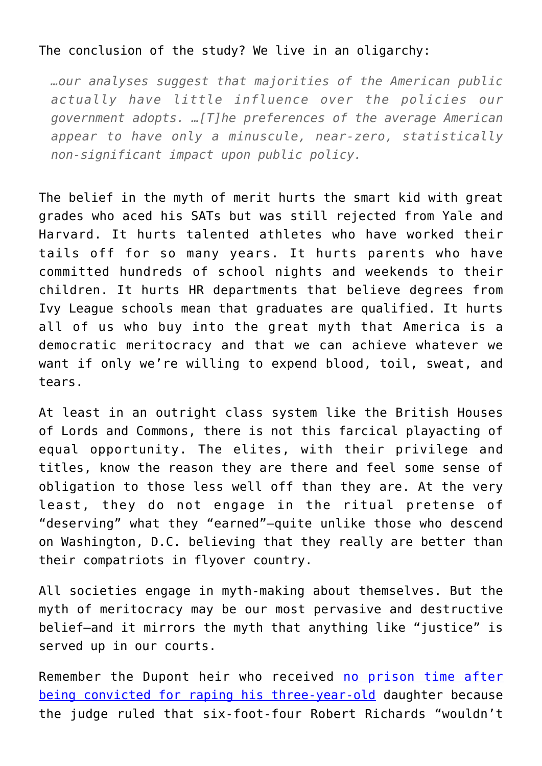## The conclusion of the study? We live in an oligarchy:

*…our analyses suggest that majorities of the American public actually have little influence over the policies our government adopts. …[T]he preferences of the average American appear to have only a minuscule, near-zero, statistically non-significant impact upon public policy.*

The belief in the myth of merit hurts the smart kid with great grades who aced his SATs but was still rejected from Yale and Harvard. It hurts talented athletes who have worked their tails off for so many years. It hurts parents who have committed hundreds of school nights and weekends to their children. It hurts HR departments that believe degrees from Ivy League schools mean that graduates are qualified. It hurts all of us who buy into the great myth that America is a democratic meritocracy and that we can achieve whatever we want if only we're willing to expend blood, toil, sweat, and tears.

At least in an outright class system like the British Houses of Lords and Commons, there is not this farcical playacting of equal opportunity. The elites, with their privilege and titles, know the reason they are there and feel some sense of obligation to those less well off than they are. At the very least, they do not engage in the ritual pretense of "deserving" what they "earned"—quite unlike those who descend on Washington, D.C. believing that they really are better than their compatriots in flyover country.

All societies engage in myth-making about themselves. But the myth of meritocracy may be our most pervasive and destructive belief—and it mirrors the myth that anything like "justice" is served up in our courts.

Remember the Dupont heir who received [no prison time after](http://www.delawareonline.com/story/news/crime/2014/03/28/sunday-preview-du-pont-heir-stayed-prison/7016769/) [being convicted for raping his three-year-old](http://www.delawareonline.com/story/news/crime/2014/03/28/sunday-preview-du-pont-heir-stayed-prison/7016769/) daughter because the judge ruled that six-foot-four Robert Richards "wouldn't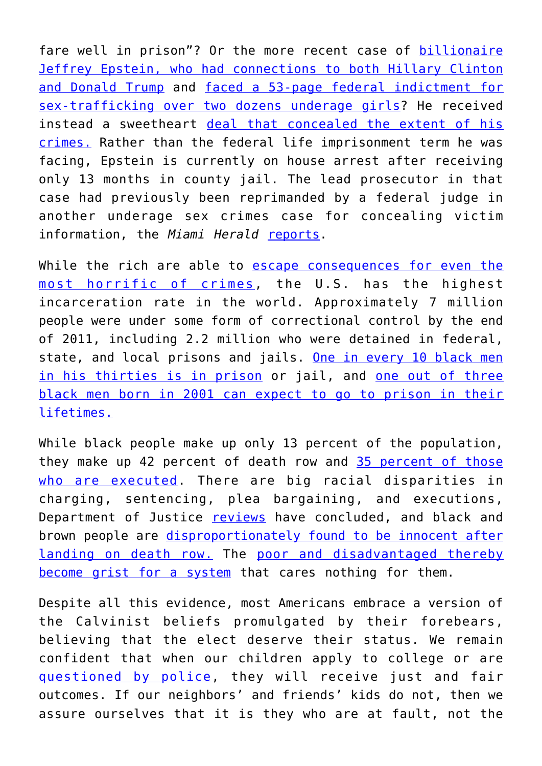fare well in prison"? Or the more recent case of [billionaire](https://www.thedailybeast.com/the-billionaire-pedophile-who-could-bring-down-donald-trump-and-hillary-clinton) [Jeffrey Epstein, who had connections to both Hillary Clinton](https://www.thedailybeast.com/the-billionaire-pedophile-who-could-bring-down-donald-trump-and-hillary-clinton) [and Donald Trump](https://www.thedailybeast.com/the-billionaire-pedophile-who-could-bring-down-donald-trump-and-hillary-clinton) and [faced a 53-page federal indictment for](https://www.miamiherald.com/news/local/article220097825.html) [sex-trafficking over two dozens underage girls?](https://www.miamiherald.com/news/local/article220097825.html) He received instead a sweetheart [deal that concealed the extent of his](https://www.palmbeachdailynews.com/article/20120401/NEWS/304017580) [crimes.](https://www.palmbeachdailynews.com/article/20120401/NEWS/304017580) Rather than the federal life imprisonment term he was facing, Epstein is currently on house arrest after receiving only 13 months in county jail. The lead prosecutor in that case had previously been reprimanded by a federal judge in another underage sex crimes case for concealing victim information, the *Miami Herald* [reports](https://www.miamiherald.com/news/politics-government/article226765309.html).

While the rich are able to [escape consequences for even the](https://www.miamiherald.com/news/local/article220097825.html) [most horrific of crimes,](https://www.miamiherald.com/news/local/article220097825.html) the U.S. has the highest incarceration rate in the world. Approximately 7 million people were under some form of correctional control by the end of 2011, including 2.2 million who were detained in federal, state, and local prisons and jails. [One in every 10 black men](https://www.sentencingproject.org/publications/shadow-report-to-the-united-nations-human-rights-committee-regarding-racial-disparities-in-the-united-states-criminal-justice-system/) [in his thirties is in prison](https://www.sentencingproject.org/publications/shadow-report-to-the-united-nations-human-rights-committee-regarding-racial-disparities-in-the-united-states-criminal-justice-system/) or jail, and [one out of three](https://www.sentencingproject.org/the-facts/#map) [black men born in 2001 can expect to go to prison in their](https://www.sentencingproject.org/the-facts/#map) [lifetimes.](https://www.sentencingproject.org/the-facts/#map)

While black people make up only 13 percent of the population, they make up 42 percent of death row and [35 percent of those](https://www.naacp.org/latest/naacp-death-penalty-fact-sheet/#_edn1) [who are executed.](https://www.naacp.org/latest/naacp-death-penalty-fact-sheet/#_edn1) There are big racial disparities in charging, sentencing, plea bargaining, and executions, Department of Justice [reviews](http://www.usdoj.gov/dag/pubdoc/dpsurvey.html) have concluded, and black and brown people are [disproportionately found to be innocent after](https://deathpenaltyinfo.org/innocence-list-those-freed-death-row) [landing on death row.](https://deathpenaltyinfo.org/innocence-list-those-freed-death-row) The [poor and disadvantaged thereby](https://issues.org/the-effects-of-mass-incarceration-on-communities-of-color/) [become grist for a system](https://issues.org/the-effects-of-mass-incarceration-on-communities-of-color/) that cares nothing for them.

Despite all this evidence, most Americans embrace a version of the Calvinist beliefs promulgated by their forebears, believing that the elect deserve their status. We remain confident that when our children apply to college or are [questioned by police,](https://www.newsweek.com/bbq-becky-white-woman-who-called-cops-black-bbq-911-audio-released-im-really-1103057) they will receive just and fair outcomes. If our neighbors' and friends' kids do not, then we assure ourselves that it is they who are at fault, not the